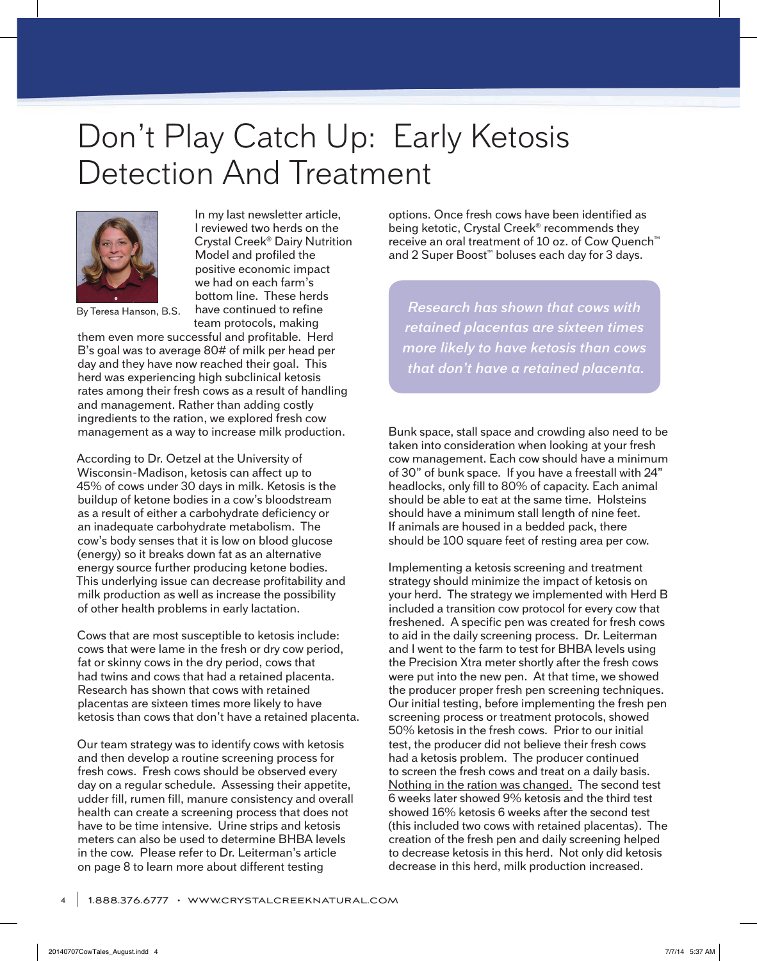## Don't Play Catch Up: Early Ketosis Detection And Treatment



By Teresa Hanson, B.S.

In my last newsletter article, I reviewed two herds on the Crystal Creek® Dairy Nutrition Model and profiled the positive economic impact we had on each farm's bottom line. These herds have continued to refine team protocols, making

them even more successful and profitable. Herd B's goal was to average 80# of milk per head per day and they have now reached their goal. This herd was experiencing high subclinical ketosis rates among their fresh cows as a result of handling and management. Rather than adding costly ingredients to the ration, we explored fresh cow management as a way to increase milk production.

According to Dr. Oetzel at the University of Wisconsin-Madison, ketosis can affect up to 45% of cows under 30 days in milk. Ketosis is the buildup of ketone bodies in a cow's bloodstream as a result of either a carbohydrate deficiency or an inadequate carbohydrate metabolism. The cow's body senses that it is low on blood glucose (energy) so it breaks down fat as an alternative energy source further producing ketone bodies. This underlying issue can decrease profitability and milk production as well as increase the possibility of other health problems in early lactation.

Cows that are most susceptible to ketosis include: cows that were lame in the fresh or dry cow period, fat or skinny cows in the dry period, cows that had twins and cows that had a retained placenta. Research has shown that cows with retained placentas are sixteen times more likely to have ketosis than cows that don't have a retained placenta.

Our team strategy was to identify cows with ketosis and then develop a routine screening process for fresh cows. Fresh cows should be observed every day on a regular schedule. Assessing their appetite, udder fill, rumen fill, manure consistency and overall health can create a screening process that does not have to be time intensive. Urine strips and ketosis meters can also be used to determine BHBA levels in the cow. Please refer to Dr. Leiterman's article on page 8 to learn more about different testing

options. Once fresh cows have been identified as being ketotic, Crystal Creek® recommends they receive an oral treatment of 10 oz. of Cow Quench™ and 2 Super Boost™ boluses each day for 3 days.

*Research has shown that cows with retained placentas are sixteen times more likely to have ketosis than cows that don't have a retained placenta.*

Bunk space, stall space and crowding also need to be taken into consideration when looking at your fresh cow management. Each cow should have a minimum of 30" of bunk space. If you have a freestall with 24" headlocks, only fill to 80% of capacity. Each animal should be able to eat at the same time. Holsteins should have a minimum stall length of nine feet. If animals are housed in a bedded pack, there should be 100 square feet of resting area per cow.

Implementing a ketosis screening and treatment strategy should minimize the impact of ketosis on your herd. The strategy we implemented with Herd B included a transition cow protocol for every cow that freshened. A specific pen was created for fresh cows to aid in the daily screening process. Dr. Leiterman and I went to the farm to test for BHBA levels using the Precision Xtra meter shortly after the fresh cows were put into the new pen. At that time, we showed the producer proper fresh pen screening techniques. Our initial testing, before implementing the fresh pen screening process or treatment protocols, showed 50% ketosis in the fresh cows. Prior to our initial test, the producer did not believe their fresh cows had a ketosis problem. The producer continued to screen the fresh cows and treat on a daily basis. Nothing in the ration was changed. The second test 6 weeks later showed 9% ketosis and the third test showed 16% ketosis 6 weeks after the second test (this included two cows with retained placentas). The creation of the fresh pen and daily screening helped to decrease ketosis in this herd. Not only did ketosis decrease in this herd, milk production increased.